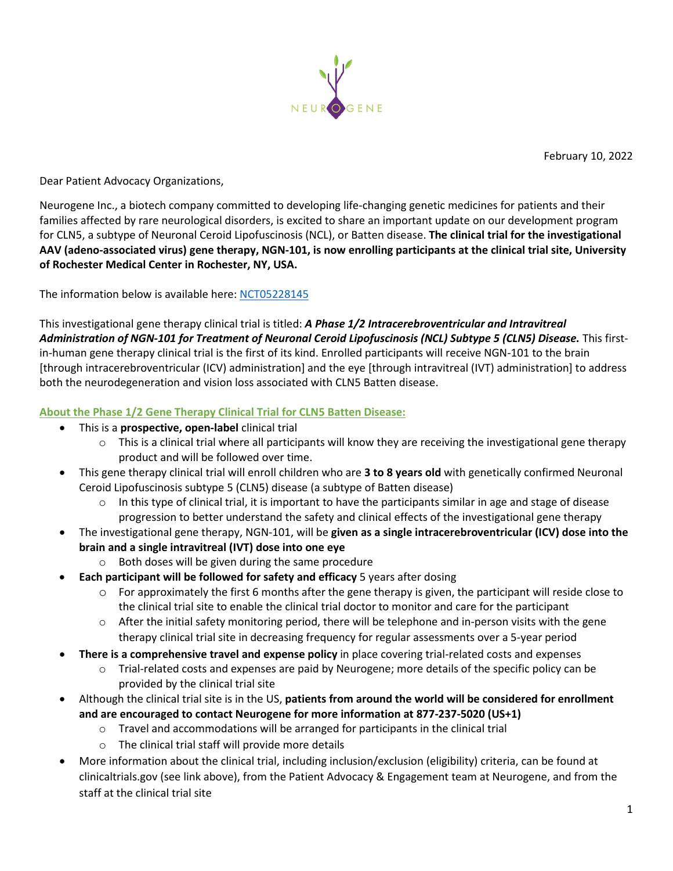

Dear Patient Advocacy Organizations,

Neurogene Inc., a biotech company committed to developing life-changing genetic medicines for patients and their families affected by rare neurological disorders, is excited to share an important update on our development program for CLN5, a subtype of Neuronal Ceroid Lipofuscinosis (NCL), or Batten disease. **The clinical trial for the investigational AAV (adeno-associated virus) gene therapy, NGN-101, is now enrolling participants at the clinical trial site, University of Rochester Medical Center in Rochester, NY, USA.**

The information below is available here: [NCT05228145](https://clinicaltrials.gov/ct2/results?cond=&term=NCT05228145&cntry=&state=&city=&dist=)

This investigational gene therapy clinical trial is titled: *A Phase 1/2 Intracerebroventricular and Intravitreal Administration of NGN-101 for Treatment of Neuronal Ceroid Lipofuscinosis (NCL) Subtype 5 (CLN5) Disease.* This firstin-human gene therapy clinical trial is the first of its kind. Enrolled participants will receive NGN-101 to the brain [through intracerebroventricular (ICV) administration] and the eye [through intravitreal (IVT) administration] to address both the neurodegeneration and vision loss associated with CLN5 Batten disease.

## **About the Phase 1/2 Gene Therapy Clinical Trial for CLN5 Batten Disease:**

- This is a **prospective, open-label** clinical trial
	- $\circ$  This is a clinical trial where all participants will know they are receiving the investigational gene therapy product and will be followed over time.
- This gene therapy clinical trial will enroll children who are **3 to 8 years old** with genetically confirmed Neuronal Ceroid Lipofuscinosis subtype 5 (CLN5) disease (a subtype of Batten disease)
	- $\circ$  In this type of clinical trial, it is important to have the participants similar in age and stage of disease progression to better understand the safety and clinical effects of the investigational gene therapy
- The investigational gene therapy, NGN-101, will be **given as a single intracerebroventricular (ICV) dose into the brain and a single intravitreal (IVT) dose into one eye**
	- o Both doses will be given during the same procedure
- **Each participant will be followed for safety and efficacy** 5 years after dosing
	- o For approximately the first 6 months after the gene therapy is given, the participant will reside close to the clinical trial site to enable the clinical trial doctor to monitor and care for the participant
	- $\circ$  After the initial safety monitoring period, there will be telephone and in-person visits with the gene therapy clinical trial site in decreasing frequency for regular assessments over a 5-year period
- **There is a comprehensive travel and expense policy** in place covering trial-related costs and expenses
	- o Trial-related costs and expenses are paid by Neurogene; more details of the specific policy can be provided by the clinical trial site
- Although the clinical trial site is in the US, **patients from around the world will be considered for enrollment and are encouraged to contact Neurogene for more information at 877-237-5020 (US+1)**
	- $\circ$  Travel and accommodations will be arranged for participants in the clinical trial
	- o The clinical trial staff will provide more details
- More information about the clinical trial, including inclusion/exclusion (eligibility) criteria, can be found at clinicaltrials.gov (see link above), from the Patient Advocacy & Engagement team at Neurogene, and from the staff at the clinical trial site